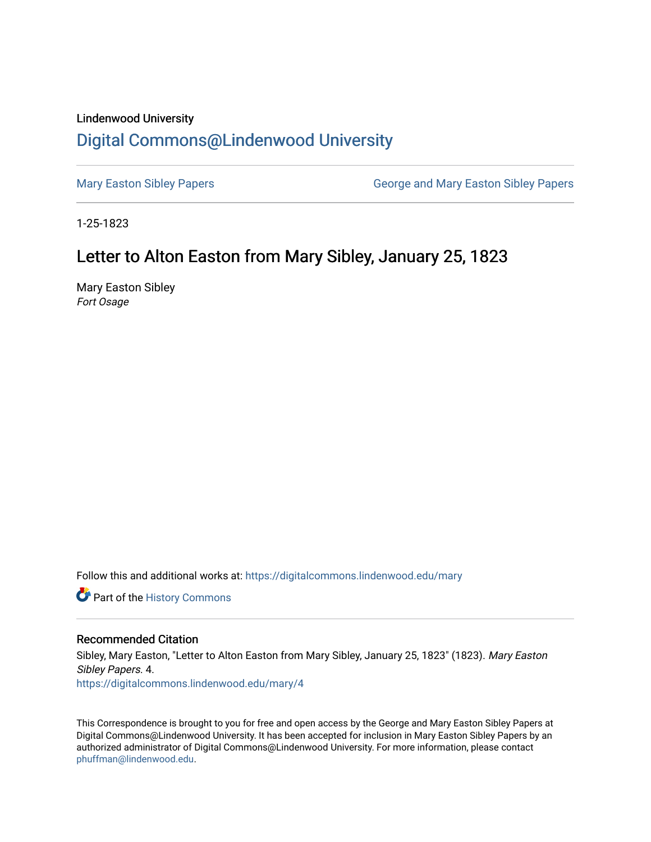### Lindenwood University

# [Digital Commons@Lindenwood University](https://digitalcommons.lindenwood.edu/)

[Mary Easton Sibley Papers](https://digitalcommons.lindenwood.edu/mary) **George and Mary Easton Sibley Papers** George and Mary Easton Sibley Papers

1-25-1823

## Letter to Alton Easton from Mary Sibley, January 25, 1823

Mary Easton Sibley Fort Osage

Follow this and additional works at: [https://digitalcommons.lindenwood.edu/mary](https://digitalcommons.lindenwood.edu/mary?utm_source=digitalcommons.lindenwood.edu%2Fmary%2F4&utm_medium=PDF&utm_campaign=PDFCoverPages) 

Part of the [History Commons](http://network.bepress.com/hgg/discipline/489?utm_source=digitalcommons.lindenwood.edu%2Fmary%2F4&utm_medium=PDF&utm_campaign=PDFCoverPages) 

#### Recommended Citation

Sibley, Mary Easton, "Letter to Alton Easton from Mary Sibley, January 25, 1823" (1823). Mary Easton Sibley Papers. 4. [https://digitalcommons.lindenwood.edu/mary/4](https://digitalcommons.lindenwood.edu/mary/4?utm_source=digitalcommons.lindenwood.edu%2Fmary%2F4&utm_medium=PDF&utm_campaign=PDFCoverPages) 

This Correspondence is brought to you for free and open access by the George and Mary Easton Sibley Papers at Digital Commons@Lindenwood University. It has been accepted for inclusion in Mary Easton Sibley Papers by an authorized administrator of Digital Commons@Lindenwood University. For more information, please contact [phuffman@lindenwood.edu](mailto:phuffman@lindenwood.edu).